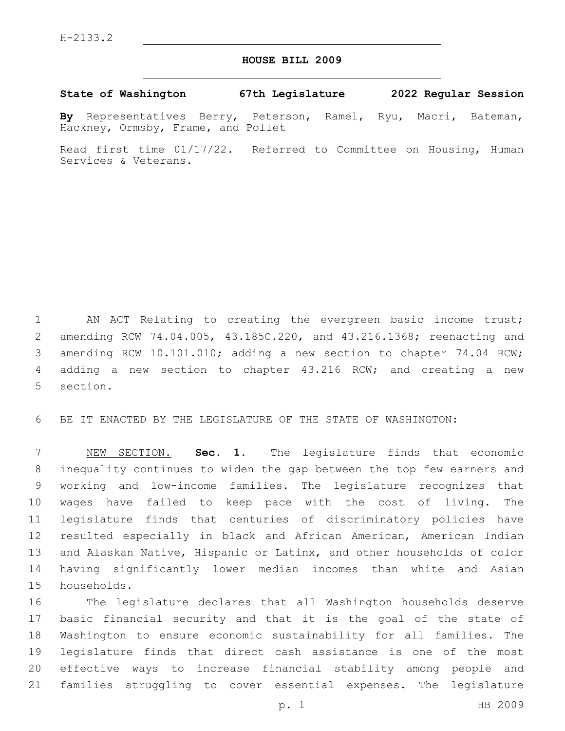## **HOUSE BILL 2009**

**State of Washington 67th Legislature 2022 Regular Session**

**By** Representatives Berry, Peterson, Ramel, Ryu, Macri, Bateman, Hackney, Ormsby, Frame, and Pollet

Read first time 01/17/22. Referred to Committee on Housing, Human Services & Veterans.

1 AN ACT Relating to creating the evergreen basic income trust; amending RCW 74.04.005, 43.185C.220, and 43.216.1368; reenacting and 3 amending RCW 10.101.010; adding a new section to chapter 74.04 RCW; adding a new section to chapter 43.216 RCW; and creating a new 5 section.

BE IT ENACTED BY THE LEGISLATURE OF THE STATE OF WASHINGTON:

 NEW SECTION. **Sec. 1.** The legislature finds that economic inequality continues to widen the gap between the top few earners and working and low-income families. The legislature recognizes that wages have failed to keep pace with the cost of living. The legislature finds that centuries of discriminatory policies have resulted especially in black and African American, American Indian and Alaskan Native, Hispanic or Latinx, and other households of color having significantly lower median incomes than white and Asian households.

 The legislature declares that all Washington households deserve basic financial security and that it is the goal of the state of Washington to ensure economic sustainability for all families. The legislature finds that direct cash assistance is one of the most effective ways to increase financial stability among people and families struggling to cover essential expenses. The legislature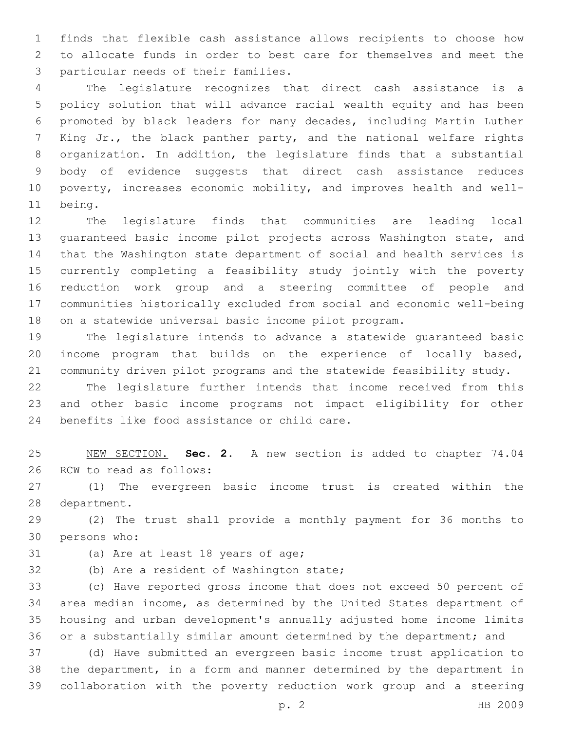finds that flexible cash assistance allows recipients to choose how to allocate funds in order to best care for themselves and meet the 3 particular needs of their families.

 The legislature recognizes that direct cash assistance is a policy solution that will advance racial wealth equity and has been promoted by black leaders for many decades, including Martin Luther 7 King Jr., the black panther party, and the national welfare rights organization. In addition, the legislature finds that a substantial body of evidence suggests that direct cash assistance reduces poverty, increases economic mobility, and improves health and well-11 being.

 The legislature finds that communities are leading local guaranteed basic income pilot projects across Washington state, and that the Washington state department of social and health services is currently completing a feasibility study jointly with the poverty reduction work group and a steering committee of people and communities historically excluded from social and economic well-being on a statewide universal basic income pilot program.

 The legislature intends to advance a statewide guaranteed basic income program that builds on the experience of locally based, community driven pilot programs and the statewide feasibility study.

 The legislature further intends that income received from this and other basic income programs not impact eligibility for other 24 benefits like food assistance or child care.

 NEW SECTION. **Sec. 2.** A new section is added to chapter 74.04 26 RCW to read as follows:

 (1) The evergreen basic income trust is created within the 28 department.

 (2) The trust shall provide a monthly payment for 36 months to 30 persons who:

31 (a) Are at least 18 years of age;

32 (b) Are a resident of Washington state;

 (c) Have reported gross income that does not exceed 50 percent of area median income, as determined by the United States department of housing and urban development's annually adjusted home income limits or a substantially similar amount determined by the department; and

 (d) Have submitted an evergreen basic income trust application to the department, in a form and manner determined by the department in collaboration with the poverty reduction work group and a steering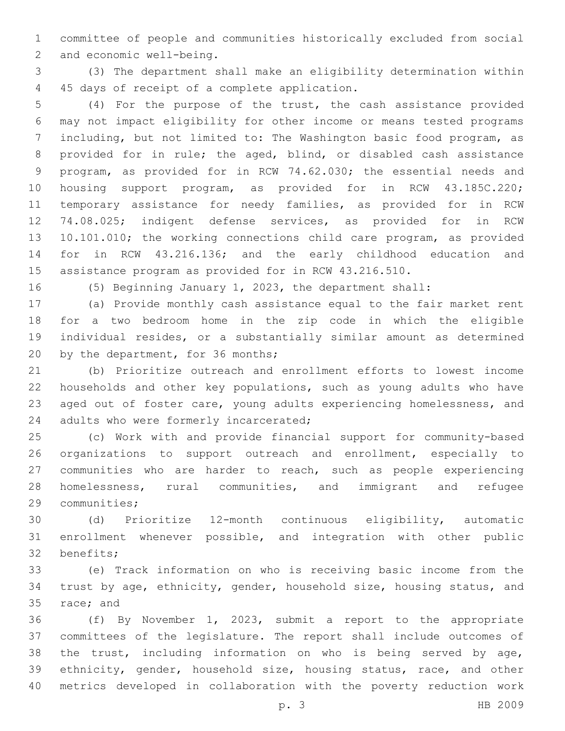committee of people and communities historically excluded from social 2 and economic well-being.

 (3) The department shall make an eligibility determination within 4 45 days of receipt of a complete application.

 (4) For the purpose of the trust, the cash assistance provided may not impact eligibility for other income or means tested programs including, but not limited to: The Washington basic food program, as provided for in rule; the aged, blind, or disabled cash assistance program, as provided for in RCW 74.62.030; the essential needs and housing support program, as provided for in RCW 43.185C.220; temporary assistance for needy families, as provided for in RCW 74.08.025; indigent defense services, as provided for in RCW 10.101.010; the working connections child care program, as provided for in RCW 43.216.136; and the early childhood education and assistance program as provided for in RCW 43.216.510.

(5) Beginning January 1, 2023, the department shall:

 (a) Provide monthly cash assistance equal to the fair market rent for a two bedroom home in the zip code in which the eligible individual resides, or a substantially similar amount as determined 20 by the department, for 36 months;

 (b) Prioritize outreach and enrollment efforts to lowest income households and other key populations, such as young adults who have aged out of foster care, young adults experiencing homelessness, and 24 adults who were formerly incarcerated;

 (c) Work with and provide financial support for community-based organizations to support outreach and enrollment, especially to communities who are harder to reach, such as people experiencing homelessness, rural communities, and immigrant and refugee 29 communities;

 (d) Prioritize 12-month continuous eligibility, automatic enrollment whenever possible, and integration with other public 32 benefits;

 (e) Track information on who is receiving basic income from the trust by age, ethnicity, gender, household size, housing status, and 35 race; and

 (f) By November 1, 2023, submit a report to the appropriate committees of the legislature. The report shall include outcomes of the trust, including information on who is being served by age, ethnicity, gender, household size, housing status, race, and other metrics developed in collaboration with the poverty reduction work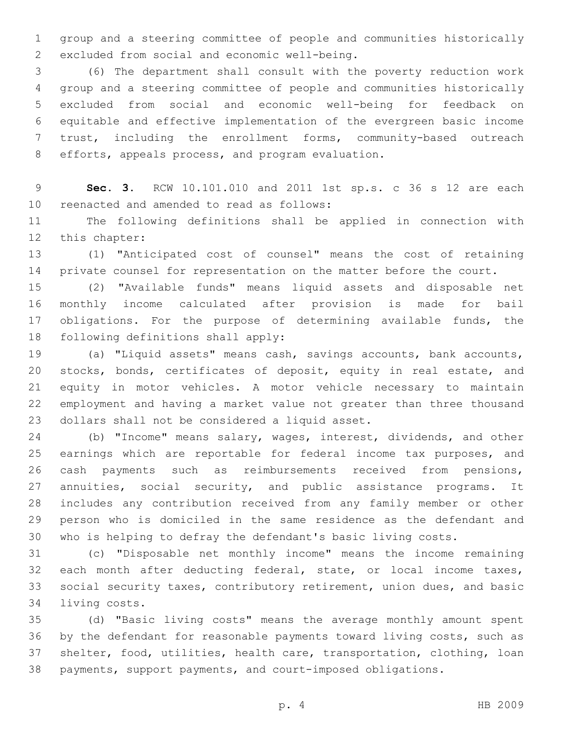group and a steering committee of people and communities historically 2 excluded from social and economic well-being.

 (6) The department shall consult with the poverty reduction work group and a steering committee of people and communities historically excluded from social and economic well-being for feedback on equitable and effective implementation of the evergreen basic income trust, including the enrollment forms, community-based outreach 8 efforts, appeals process, and program evaluation.

 **Sec. 3.** RCW 10.101.010 and 2011 1st sp.s. c 36 s 12 are each 10 reenacted and amended to read as follows:

 The following definitions shall be applied in connection with 12 this chapter:

 (1) "Anticipated cost of counsel" means the cost of retaining 14 private counsel for representation on the matter before the court.

 (2) "Available funds" means liquid assets and disposable net monthly income calculated after provision is made for bail 17 obligations. For the purpose of determining available funds, the 18 following definitions shall apply:

 (a) "Liquid assets" means cash, savings accounts, bank accounts, 20 stocks, bonds, certificates of deposit, equity in real estate, and equity in motor vehicles. A motor vehicle necessary to maintain employment and having a market value not greater than three thousand 23 dollars shall not be considered a liquid asset.

 (b) "Income" means salary, wages, interest, dividends, and other 25 earnings which are reportable for federal income tax purposes, and cash payments such as reimbursements received from pensions, annuities, social security, and public assistance programs. It includes any contribution received from any family member or other person who is domiciled in the same residence as the defendant and who is helping to defray the defendant's basic living costs.

 (c) "Disposable net monthly income" means the income remaining 32 each month after deducting federal, state, or local income taxes, social security taxes, contributory retirement, union dues, and basic 34 living costs.

 (d) "Basic living costs" means the average monthly amount spent by the defendant for reasonable payments toward living costs, such as shelter, food, utilities, health care, transportation, clothing, loan payments, support payments, and court-imposed obligations.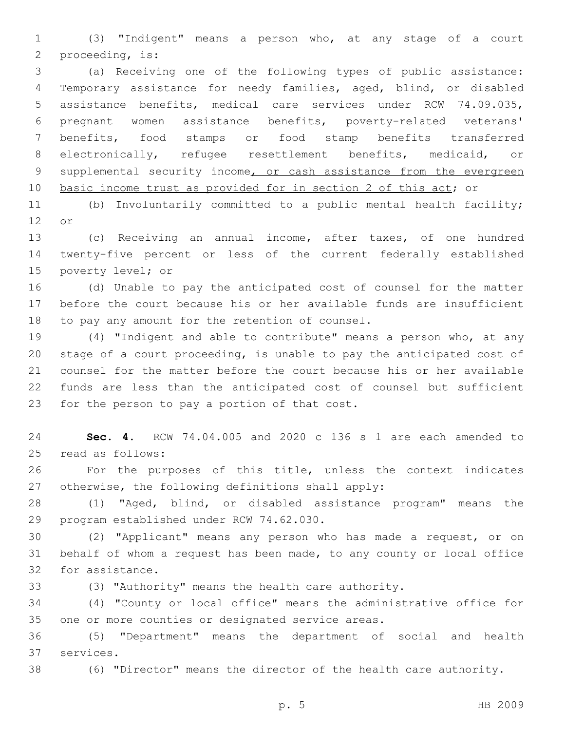(3) "Indigent" means a person who, at any stage of a court 2 proceeding, is:

 (a) Receiving one of the following types of public assistance: Temporary assistance for needy families, aged, blind, or disabled assistance benefits, medical care services under RCW 74.09.035, pregnant women assistance benefits, poverty-related veterans' benefits, food stamps or food stamp benefits transferred electronically, refugee resettlement benefits, medicaid, or 9 supplemental security income, or cash assistance from the evergreen basic income trust as provided for in section 2 of this act; or

 (b) Involuntarily committed to a public mental health facility; 12 or

 (c) Receiving an annual income, after taxes, of one hundred twenty-five percent or less of the current federally established 15 poverty level; or

 (d) Unable to pay the anticipated cost of counsel for the matter before the court because his or her available funds are insufficient 18 to pay any amount for the retention of counsel.

 (4) "Indigent and able to contribute" means a person who, at any stage of a court proceeding, is unable to pay the anticipated cost of counsel for the matter before the court because his or her available funds are less than the anticipated cost of counsel but sufficient 23 for the person to pay a portion of that cost.

 **Sec. 4.** RCW 74.04.005 and 2020 c 136 s 1 are each amended to read as follows:25

 For the purposes of this title, unless the context indicates 27 otherwise, the following definitions shall apply:

 (1) "Aged, blind, or disabled assistance program" means the 29 program established under RCW 74.62.030.

 (2) "Applicant" means any person who has made a request, or on behalf of whom a request has been made, to any county or local office 32 for assistance.

(3) "Authority" means the health care authority.

 (4) "County or local office" means the administrative office for 35 one or more counties or designated service areas.

 (5) "Department" means the department of social and health 37 services.

(6) "Director" means the director of the health care authority.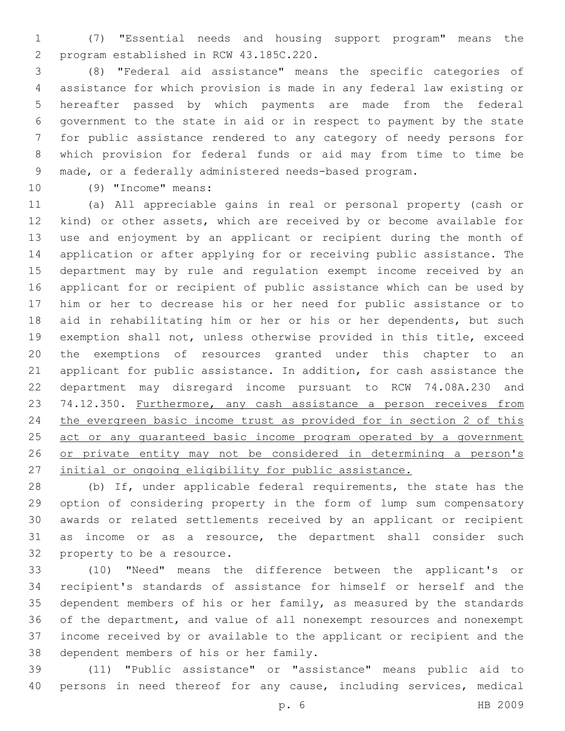(7) "Essential needs and housing support program" means the program established in RCW 43.185C.220.2

 (8) "Federal aid assistance" means the specific categories of assistance for which provision is made in any federal law existing or hereafter passed by which payments are made from the federal government to the state in aid or in respect to payment by the state for public assistance rendered to any category of needy persons for which provision for federal funds or aid may from time to time be made, or a federally administered needs-based program.

10 (9) "Income" means:

 (a) All appreciable gains in real or personal property (cash or kind) or other assets, which are received by or become available for use and enjoyment by an applicant or recipient during the month of application or after applying for or receiving public assistance. The department may by rule and regulation exempt income received by an applicant for or recipient of public assistance which can be used by him or her to decrease his or her need for public assistance or to aid in rehabilitating him or her or his or her dependents, but such exemption shall not, unless otherwise provided in this title, exceed the exemptions of resources granted under this chapter to an applicant for public assistance. In addition, for cash assistance the department may disregard income pursuant to RCW 74.08A.230 and 23 74.12.350. Furthermore, any cash assistance a person receives from the evergreen basic income trust as provided for in section 2 of this 25 act or any quaranteed basic income program operated by a government 26 or private entity may not be considered in determining a person's initial or ongoing eligibility for public assistance.

 (b) If, under applicable federal requirements, the state has the option of considering property in the form of lump sum compensatory awards or related settlements received by an applicant or recipient as income or as a resource, the department shall consider such 32 property to be a resource.

 (10) "Need" means the difference between the applicant's or recipient's standards of assistance for himself or herself and the dependent members of his or her family, as measured by the standards of the department, and value of all nonexempt resources and nonexempt income received by or available to the applicant or recipient and the 38 dependent members of his or her family.

 (11) "Public assistance" or "assistance" means public aid to persons in need thereof for any cause, including services, medical

p. 6 HB 2009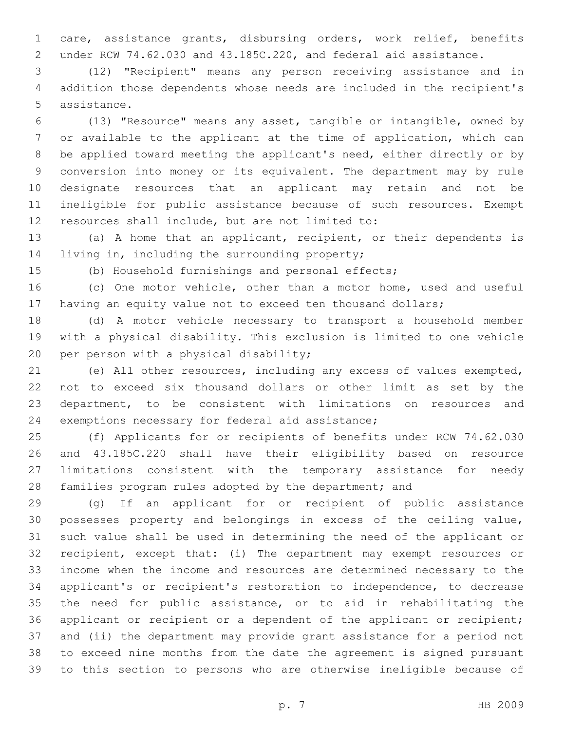care, assistance grants, disbursing orders, work relief, benefits under RCW 74.62.030 and 43.185C.220, and federal aid assistance.

 (12) "Recipient" means any person receiving assistance and in addition those dependents whose needs are included in the recipient's 5 assistance.

 (13) "Resource" means any asset, tangible or intangible, owned by or available to the applicant at the time of application, which can be applied toward meeting the applicant's need, either directly or by conversion into money or its equivalent. The department may by rule designate resources that an applicant may retain and not be ineligible for public assistance because of such resources. Exempt 12 resources shall include, but are not limited to:

 (a) A home that an applicant, recipient, or their dependents is 14 living in, including the surrounding property;

(b) Household furnishings and personal effects;

 (c) One motor vehicle, other than a motor home, used and useful having an equity value not to exceed ten thousand dollars;

 (d) A motor vehicle necessary to transport a household member with a physical disability. This exclusion is limited to one vehicle 20 per person with a physical disability;

 (e) All other resources, including any excess of values exempted, not to exceed six thousand dollars or other limit as set by the department, to be consistent with limitations on resources and 24 exemptions necessary for federal aid assistance;

 (f) Applicants for or recipients of benefits under RCW 74.62.030 and 43.185C.220 shall have their eligibility based on resource limitations consistent with the temporary assistance for needy 28 families program rules adopted by the department; and

 (g) If an applicant for or recipient of public assistance possesses property and belongings in excess of the ceiling value, such value shall be used in determining the need of the applicant or recipient, except that: (i) The department may exempt resources or income when the income and resources are determined necessary to the applicant's or recipient's restoration to independence, to decrease the need for public assistance, or to aid in rehabilitating the applicant or recipient or a dependent of the applicant or recipient; and (ii) the department may provide grant assistance for a period not to exceed nine months from the date the agreement is signed pursuant to this section to persons who are otherwise ineligible because of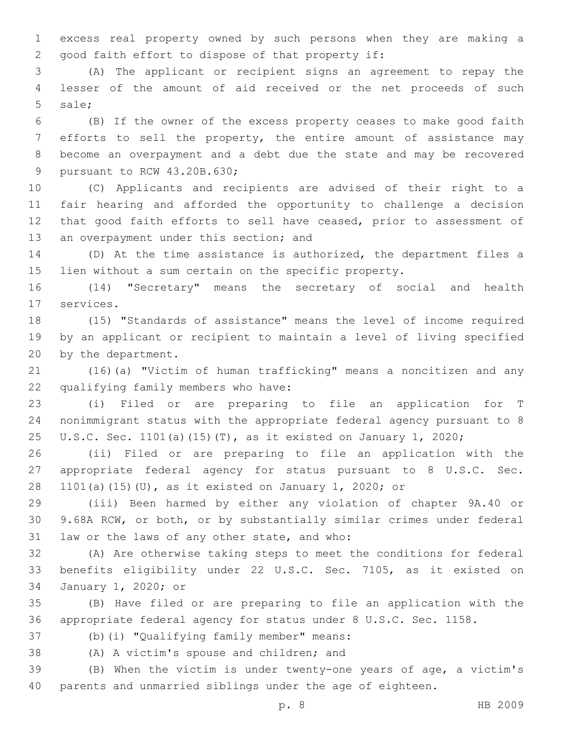excess real property owned by such persons when they are making a 2 good faith effort to dispose of that property if:

 (A) The applicant or recipient signs an agreement to repay the lesser of the amount of aid received or the net proceeds of such 5 sale;

 (B) If the owner of the excess property ceases to make good faith efforts to sell the property, the entire amount of assistance may become an overpayment and a debt due the state and may be recovered 9 pursuant to RCW 43.20B.630;

 (C) Applicants and recipients are advised of their right to a fair hearing and afforded the opportunity to challenge a decision that good faith efforts to sell have ceased, prior to assessment of 13 an overpayment under this section; and

 (D) At the time assistance is authorized, the department files a lien without a sum certain on the specific property.

 (14) "Secretary" means the secretary of social and health 17 services.

 (15) "Standards of assistance" means the level of income required by an applicant or recipient to maintain a level of living specified 20 by the department.

 (16)(a) "Victim of human trafficking" means a noncitizen and any 22 qualifying family members who have:

 (i) Filed or are preparing to file an application for T nonimmigrant status with the appropriate federal agency pursuant to 8 U.S.C. Sec. 1101(a)(15)(T), as it existed on January 1, 2020;

 (ii) Filed or are preparing to file an application with the appropriate federal agency for status pursuant to 8 U.S.C. Sec. 1101(a)(15)(U), as it existed on January 1, 2020; or

 (iii) Been harmed by either any violation of chapter 9A.40 or 9.68A RCW, or both, or by substantially similar crimes under federal 31 law or the laws of any other state, and who:

 (A) Are otherwise taking steps to meet the conditions for federal benefits eligibility under 22 U.S.C. Sec. 7105, as it existed on 34 January 1, 2020; or

 (B) Have filed or are preparing to file an application with the appropriate federal agency for status under 8 U.S.C. Sec. 1158.

37 (b)(i) "Qualifying family member" means:

38 (A) A victim's spouse and children; and

 (B) When the victim is under twenty-one years of age, a victim's parents and unmarried siblings under the age of eighteen.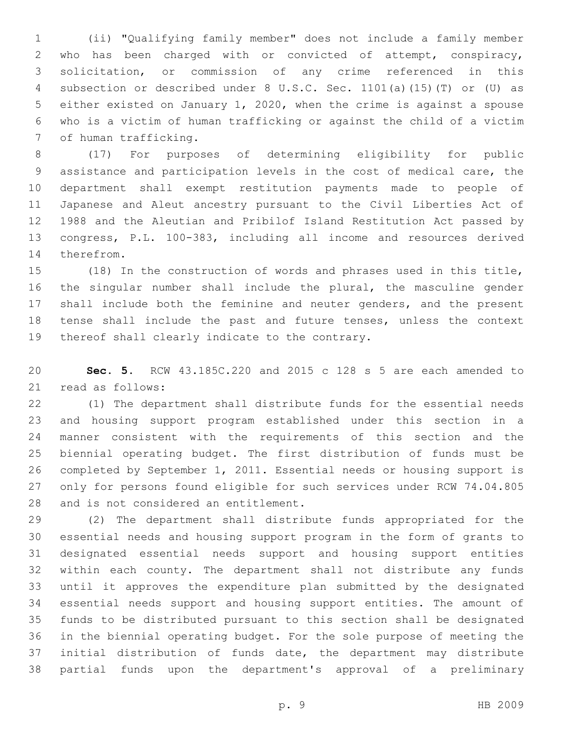(ii) "Qualifying family member" does not include a family member who has been charged with or convicted of attempt, conspiracy, solicitation, or commission of any crime referenced in this subsection or described under 8 U.S.C. Sec. 1101(a)(15)(T) or (U) as either existed on January 1, 2020, when the crime is against a spouse who is a victim of human trafficking or against the child of a victim 7 of human trafficking.

 (17) For purposes of determining eligibility for public assistance and participation levels in the cost of medical care, the department shall exempt restitution payments made to people of Japanese and Aleut ancestry pursuant to the Civil Liberties Act of 1988 and the Aleutian and Pribilof Island Restitution Act passed by congress, P.L. 100-383, including all income and resources derived 14 therefrom.

 (18) In the construction of words and phrases used in this title, the singular number shall include the plural, the masculine gender shall include both the feminine and neuter genders, and the present tense shall include the past and future tenses, unless the context 19 thereof shall clearly indicate to the contrary.

 **Sec. 5.** RCW 43.185C.220 and 2015 c 128 s 5 are each amended to 21 read as follows:

 (1) The department shall distribute funds for the essential needs and housing support program established under this section in a manner consistent with the requirements of this section and the biennial operating budget. The first distribution of funds must be completed by September 1, 2011. Essential needs or housing support is only for persons found eligible for such services under RCW 74.04.805 28 and is not considered an entitlement.

 (2) The department shall distribute funds appropriated for the essential needs and housing support program in the form of grants to designated essential needs support and housing support entities within each county. The department shall not distribute any funds until it approves the expenditure plan submitted by the designated essential needs support and housing support entities. The amount of funds to be distributed pursuant to this section shall be designated in the biennial operating budget. For the sole purpose of meeting the initial distribution of funds date, the department may distribute partial funds upon the department's approval of a preliminary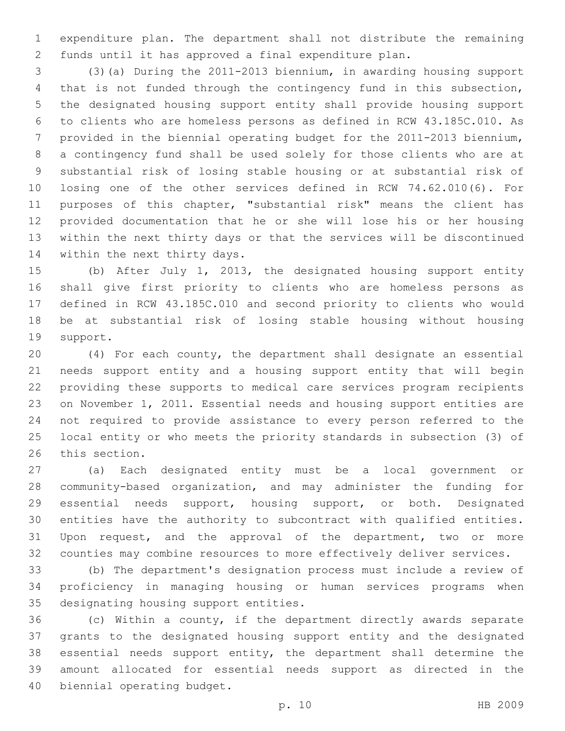expenditure plan. The department shall not distribute the remaining funds until it has approved a final expenditure plan.

 (3)(a) During the 2011-2013 biennium, in awarding housing support that is not funded through the contingency fund in this subsection, the designated housing support entity shall provide housing support to clients who are homeless persons as defined in RCW 43.185C.010. As provided in the biennial operating budget for the 2011-2013 biennium, a contingency fund shall be used solely for those clients who are at substantial risk of losing stable housing or at substantial risk of losing one of the other services defined in RCW 74.62.010(6). For purposes of this chapter, "substantial risk" means the client has provided documentation that he or she will lose his or her housing within the next thirty days or that the services will be discontinued 14 within the next thirty days.

 (b) After July 1, 2013, the designated housing support entity shall give first priority to clients who are homeless persons as defined in RCW 43.185C.010 and second priority to clients who would be at substantial risk of losing stable housing without housing 19 support.

 (4) For each county, the department shall designate an essential needs support entity and a housing support entity that will begin providing these supports to medical care services program recipients on November 1, 2011. Essential needs and housing support entities are not required to provide assistance to every person referred to the local entity or who meets the priority standards in subsection (3) of 26 this section.

 (a) Each designated entity must be a local government or community-based organization, and may administer the funding for essential needs support, housing support, or both. Designated entities have the authority to subcontract with qualified entities. Upon request, and the approval of the department, two or more counties may combine resources to more effectively deliver services.

 (b) The department's designation process must include a review of proficiency in managing housing or human services programs when 35 designating housing support entities.

 (c) Within a county, if the department directly awards separate grants to the designated housing support entity and the designated essential needs support entity, the department shall determine the amount allocated for essential needs support as directed in the 40 biennial operating budget.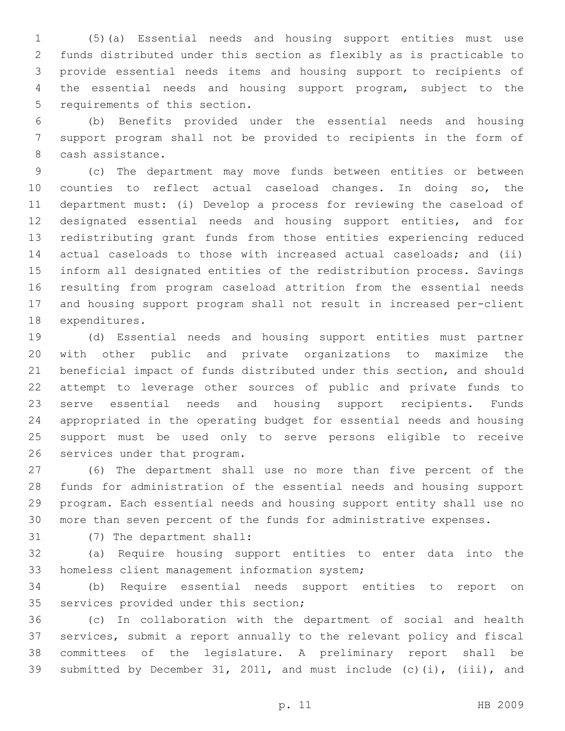(5)(a) Essential needs and housing support entities must use funds distributed under this section as flexibly as is practicable to provide essential needs items and housing support to recipients of the essential needs and housing support program, subject to the 5 requirements of this section.

 (b) Benefits provided under the essential needs and housing support program shall not be provided to recipients in the form of 8 cash assistance.

 (c) The department may move funds between entities or between counties to reflect actual caseload changes. In doing so, the department must: (i) Develop a process for reviewing the caseload of designated essential needs and housing support entities, and for redistributing grant funds from those entities experiencing reduced actual caseloads to those with increased actual caseloads; and (ii) inform all designated entities of the redistribution process. Savings resulting from program caseload attrition from the essential needs and housing support program shall not result in increased per-client 18 expenditures.

 (d) Essential needs and housing support entities must partner with other public and private organizations to maximize the beneficial impact of funds distributed under this section, and should attempt to leverage other sources of public and private funds to serve essential needs and housing support recipients. Funds appropriated in the operating budget for essential needs and housing support must be used only to serve persons eligible to receive 26 services under that program.

 (6) The department shall use no more than five percent of the funds for administration of the essential needs and housing support program. Each essential needs and housing support entity shall use no more than seven percent of the funds for administrative expenses.

31 (7) The department shall:

 (a) Require housing support entities to enter data into the 33 homeless client management information system;

 (b) Require essential needs support entities to report on 35 services provided under this section;

 (c) In collaboration with the department of social and health services, submit a report annually to the relevant policy and fiscal committees of the legislature. A preliminary report shall be submitted by December 31, 2011, and must include (c)(i), (iii), and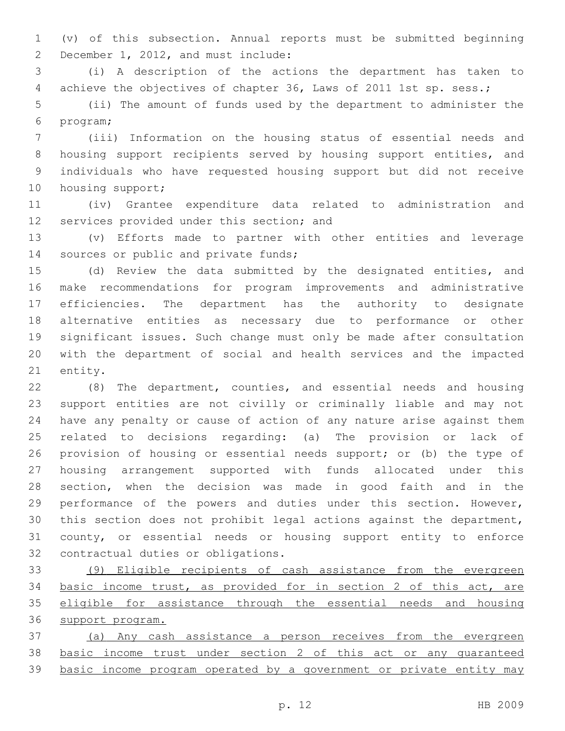(v) of this subsection. Annual reports must be submitted beginning 2 December 1, 2012, and must include:

 (i) A description of the actions the department has taken to achieve the objectives of chapter 36, Laws of 2011 1st sp. sess.;

 (ii) The amount of funds used by the department to administer the 6 program;

 (iii) Information on the housing status of essential needs and housing support recipients served by housing support entities, and individuals who have requested housing support but did not receive 10 housing support;

 (iv) Grantee expenditure data related to administration and 12 services provided under this section; and

 (v) Efforts made to partner with other entities and leverage 14 sources or public and private funds;

 (d) Review the data submitted by the designated entities, and make recommendations for program improvements and administrative efficiencies. The department has the authority to designate alternative entities as necessary due to performance or other significant issues. Such change must only be made after consultation with the department of social and health services and the impacted 21 entity.

 (8) The department, counties, and essential needs and housing support entities are not civilly or criminally liable and may not have any penalty or cause of action of any nature arise against them related to decisions regarding: (a) The provision or lack of provision of housing or essential needs support; or (b) the type of housing arrangement supported with funds allocated under this section, when the decision was made in good faith and in the performance of the powers and duties under this section. However, this section does not prohibit legal actions against the department, county, or essential needs or housing support entity to enforce 32 contractual duties or obligations.

 (9) Eligible recipients of cash assistance from the evergreen basic income trust, as provided for in section 2 of this act, are eligible for assistance through the essential needs and housing support program.

 (a) Any cash assistance a person receives from the evergreen basic income trust under section 2 of this act or any guaranteed basic income program operated by a government or private entity may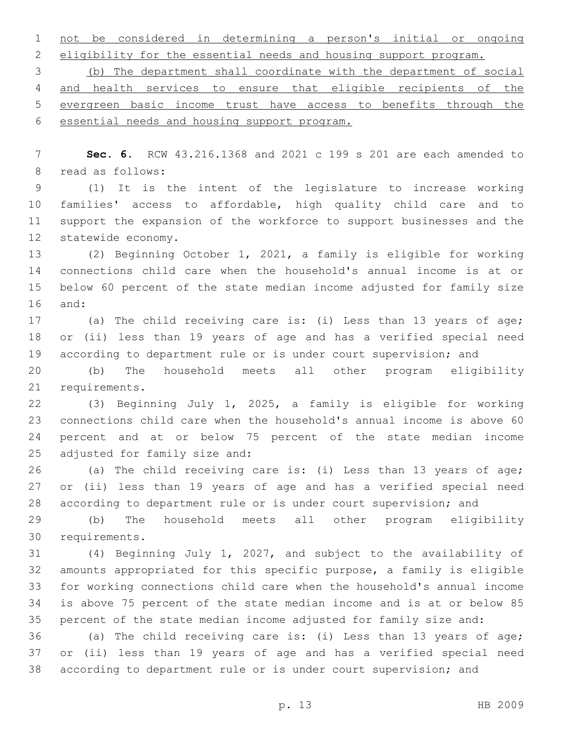not be considered in determining a person's initial or ongoing

eligibility for the essential needs and housing support program.

 (b) The department shall coordinate with the department of social and health services to ensure that eligible recipients of the evergreen basic income trust have access to benefits through the essential needs and housing support program.

 **Sec. 6.** RCW 43.216.1368 and 2021 c 199 s 201 are each amended to 8 read as follows:

 (1) It is the intent of the legislature to increase working families' access to affordable, high quality child care and to support the expansion of the workforce to support businesses and the 12 statewide economy.

 (2) Beginning October 1, 2021, a family is eligible for working connections child care when the household's annual income is at or below 60 percent of the state median income adjusted for family size 16 and:

 (a) The child receiving care is: (i) Less than 13 years of age; or (ii) less than 19 years of age and has a verified special need according to department rule or is under court supervision; and

 (b) The household meets all other program eligibility 21 requirements.

 (3) Beginning July 1, 2025, a family is eligible for working connections child care when the household's annual income is above 60 percent and at or below 75 percent of the state median income 25 adjusted for family size and:

 (a) The child receiving care is: (i) Less than 13 years of age; or (ii) less than 19 years of age and has a verified special need according to department rule or is under court supervision; and

 (b) The household meets all other program eligibility 30 requirements.

 (4) Beginning July 1, 2027, and subject to the availability of amounts appropriated for this specific purpose, a family is eligible for working connections child care when the household's annual income is above 75 percent of the state median income and is at or below 85 percent of the state median income adjusted for family size and:

 (a) The child receiving care is: (i) Less than 13 years of age; or (ii) less than 19 years of age and has a verified special need according to department rule or is under court supervision; and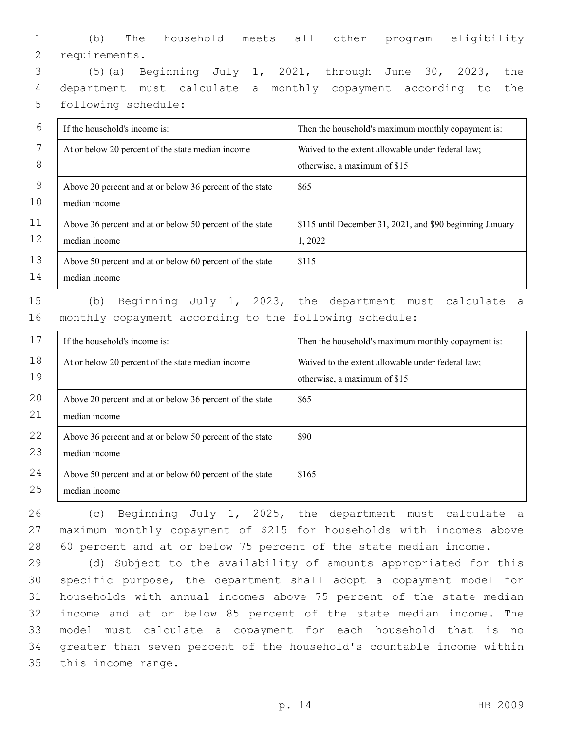|                 |  |  |  | (b) The household meets all other program eligibility |
|-----------------|--|--|--|-------------------------------------------------------|
| 2 requirements. |  |  |  |                                                       |

3 (5)(a) Beginning July 1, 2021, through June 30, 2023, the 4 department must calculate a monthly copayment according to the 5 following schedule:

| 6  | If the household's income is:                            | Then the household's maximum monthly copayment is:        |
|----|----------------------------------------------------------|-----------------------------------------------------------|
| 7  | At or below 20 percent of the state median income        | Waived to the extent allowable under federal law;         |
| 8  |                                                          | otherwise, a maximum of \$15                              |
| 9  | Above 20 percent and at or below 36 percent of the state | \$65                                                      |
| 10 | median income                                            |                                                           |
| 11 | Above 36 percent and at or below 50 percent of the state | \$115 until December 31, 2021, and \$90 beginning January |
| 12 | median income                                            | 1,2022                                                    |
| 13 | Above 50 percent and at or below 60 percent of the state | \$115                                                     |
| 14 | median income                                            |                                                           |
| 15 | Beginning<br>2023,<br>July 1,<br>(b)                     | department must calculate<br>the<br>- a                   |

16 monthly copayment according to the following schedule:

| 17       | If the household's income is:                                             | Then the household's maximum monthly copayment is:                                |
|----------|---------------------------------------------------------------------------|-----------------------------------------------------------------------------------|
| 18<br>19 | At or below 20 percent of the state median income                         | Waived to the extent allowable under federal law;<br>otherwise, a maximum of \$15 |
| 20<br>21 | Above 20 percent and at or below 36 percent of the state<br>median income | \$65                                                                              |
| 22<br>23 | Above 36 percent and at or below 50 percent of the state<br>median income | \$90                                                                              |
| 24<br>25 | Above 50 percent and at or below 60 percent of the state<br>median income | \$165                                                                             |

26 (c) Beginning July 1, 2025, the department must calculate a 27 maximum monthly copayment of \$215 for households with incomes above 28 60 percent and at or below 75 percent of the state median income.

 (d) Subject to the availability of amounts appropriated for this specific purpose, the department shall adopt a copayment model for households with annual incomes above 75 percent of the state median income and at or below 85 percent of the state median income. The model must calculate a copayment for each household that is no greater than seven percent of the household's countable income within 35 this income range.